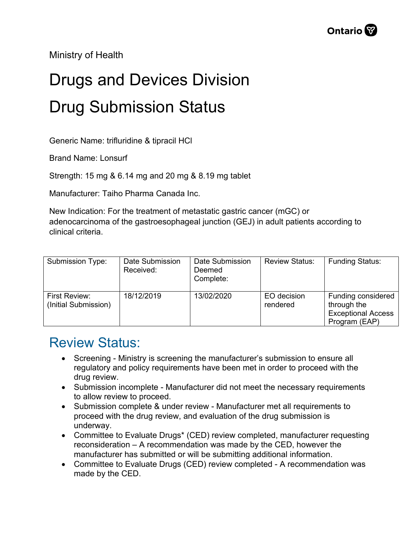Ministry of Health

## Drugs and Devices Division Drug Submission Status

Generic Name: trifluridine & tipracil HCl

Brand Name: Lonsurf

Strength: 15 mg & 6.14 mg and 20 mg & 8.19 mg tablet

Manufacturer: Taiho Pharma Canada Inc.

New Indication: For the treatment of metastatic gastric cancer (mGC) or adenocarcinoma of the gastroesophageal junction (GEJ) in adult patients according to clinical criteria.

| Submission Type:                      | Date Submission<br>Received: | Date Submission<br>Deemed<br>Complete: | <b>Review Status:</b>   | <b>Funding Status:</b>                                                          |
|---------------------------------------|------------------------------|----------------------------------------|-------------------------|---------------------------------------------------------------------------------|
| First Review:<br>(Initial Submission) | 18/12/2019                   | 13/02/2020                             | EO decision<br>rendered | Funding considered<br>through the<br><b>Exceptional Access</b><br>Program (EAP) |

## Review Status:

- Screening Ministry is screening the manufacturer's submission to ensure all regulatory and policy requirements have been met in order to proceed with the drug review.
- Submission incomplete Manufacturer did not meet the necessary requirements to allow review to proceed.
- Submission complete & under review Manufacturer met all requirements to proceed with the drug review, and evaluation of the drug submission is underway.
- Committee to Evaluate Drugs\* (CED) review completed, manufacturer requesting reconsideration – A recommendation was made by the CED, however the manufacturer has submitted or will be submitting additional information.
- Committee to Evaluate Drugs (CED) review completed A recommendation was made by the CED.